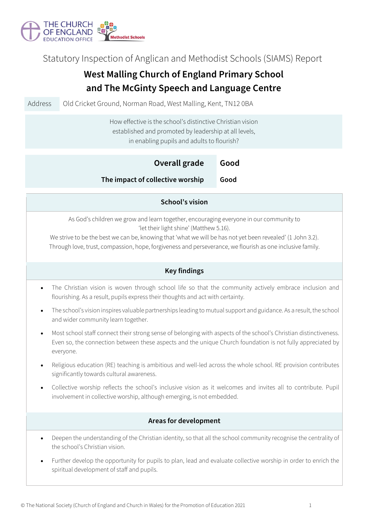

Statutory Inspection of Anglican and Methodist Schools (SIAMS) Report

# **West Malling Church of England Primary School and The McGinty Speech and Language Centre**

Address **Old Cricket Ground, Norman Road, West Malling, Kent, TN12 0BA** 

How effective is the school's distinctive Christian vision established and promoted by leadership at all levels, in enabling pupils and adults to flourish?

| Overall grade                    | Good |
|----------------------------------|------|
| The impact of collective worship | Good |

### **School's vision**

As God's children we grow and learn together, encouraging everyone in our community to 'let their light shine' (Matthew 5.16).

We strive to be the best we can be, knowing that 'what we will be has not yet been revealed' (1 John 3.2). Through love, trust, compassion, hope, forgiveness and perseverance, we flourish as one inclusive family.

## **Key findings**

- The Christian vision is woven through school life so that the community actively embrace inclusion and flourishing. As a result, pupils express their thoughts and act with certainty.
- The school's vision inspires valuable partnerships leading to mutual support and guidance. As a result, the school and wider community learn together.
- Most school staff connect their strong sense of belonging with aspects of the school's Christian distinctiveness. Even so, the connection between these aspects and the unique Church foundation is not fully appreciated by everyone.
- Religious education (RE) teaching is ambitious and well-led across the whole school. RE provision contributes significantly towards cultural awareness.
- Collective worship reflects the school's inclusive vision as it welcomes and invites all to contribute. Pupil involvement in collective worship, although emerging, is not embedded.

### **Areas for development**

- Deepen the understanding of the Christian identity, so that all the school community recognise the centrality of the school's Christian vision.
- Further develop the opportunity for pupils to plan, lead and evaluate collective worship in order to enrich the spiritual development of staff and pupils.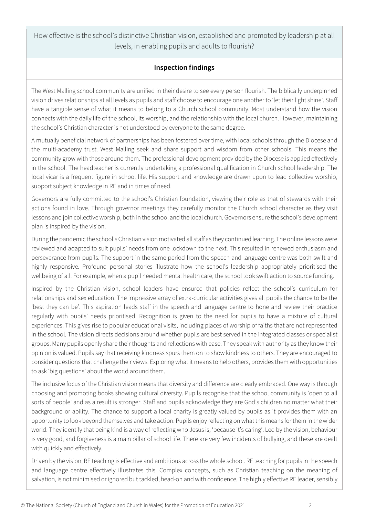How effective is the school's distinctive Christian vision, established and promoted by leadership at all levels, in enabling pupils and adults to flourish?

## **Inspection findings**

The West Malling school community are unified in their desire to see every person flourish. The biblically underpinned vision drives relationships at all levels as pupils and staff choose to encourage one another to 'let their light shine'. Staff have a tangible sense of what it means to belong to a Church school community. Most understand how the vision connects with the daily life of the school, its worship, and the relationship with the local church. However, maintaining the school's Christian character is not understood by everyone to the same degree.

A mutually beneficial network of partnerships has been fostered over time, with local schools through the Diocese and the multi-academy trust. West Malling seek and share support and wisdom from other schools. This means the community grow with those around them. The professional development provided by the Diocese is applied effectively in the school. The headteacher is currently undertaking a professional qualification in Church school leadership. The local vicar is a frequent figure in school life. His support and knowledge are drawn upon to lead collective worship, support subject knowledge in RE and in times of need.

Governors are fully committed to the school's Christian foundation, viewing their role as that of stewards with their actions found in love. Through governor meetings they carefully monitor the Church school character as they visit lessons and join collective worship, both in the school and the local church. Governors ensure the school's development plan is inspired by the vision.

During the pandemic the school's Christian vision motivated all staff as they continued learning. The online lessons were reviewed and adapted to suit pupils' needs from one lockdown to the next. This resulted in renewed enthusiasm and perseverance from pupils. The support in the same period from the speech and language centre was both swift and highly responsive. Profound personal stories illustrate how the school's leadership appropriately prioritised the wellbeing of all. For example, when a pupil needed mental health care, the school took swift action to source funding.

Inspired by the Christian vision, school leaders have ensured that policies reflect the school's curriculum for relationships and sex education. The impressive array of extra-curricular activities gives all pupils the chance to be the 'best they can be'. This aspiration leads staff in the speech and language centre to hone and review their practice regularly with pupils' needs prioritised. Recognition is given to the need for pupils to have a mixture of cultural experiences. This gives rise to popular educational visits, including places of worship of faiths that are not represented in the school. The vision directs decisions around whether pupils are best served in the integrated classes or specialist groups. Many pupils openly share their thoughts and reflections with ease. They speak with authority as they know their opinion is valued. Pupils say that receiving kindness spurs them on to show kindness to others. They are encouraged to consider questions that challenge their views. Exploring what it means to help others, provides them with opportunities to ask 'big questions' about the world around them.

The inclusive focus of the Christian vision means that diversity and difference are clearly embraced. One way is through choosing and promoting books showing cultural diversity. Pupils recognise that the school community is 'open to all sorts of people' and as a result is stronger. Staff and pupils acknowledge they are God's children no matter what their background or ability. The chance to support a local charity is greatly valued by pupils as it provides them with an opportunity to look beyond themselves and take action. Pupils enjoy reflecting on what this means for them in the wider world. They identify that being kind is a way of reflecting who Jesus is, 'because it's caring'. Led by the vision, behaviour is very good, and forgiveness is a main pillar of school life. There are very few incidents of bullying, and these are dealt with quickly and effectively.

Driven by the vision, RE teaching is effective and ambitious across the whole school. RE teaching for pupils in the speech and language centre effectively illustrates this. Complex concepts, such as Christian teaching on the meaning of salvation, is not minimised or ignored but tackled, head-on and with confidence. The highly effective RE leader, sensibly